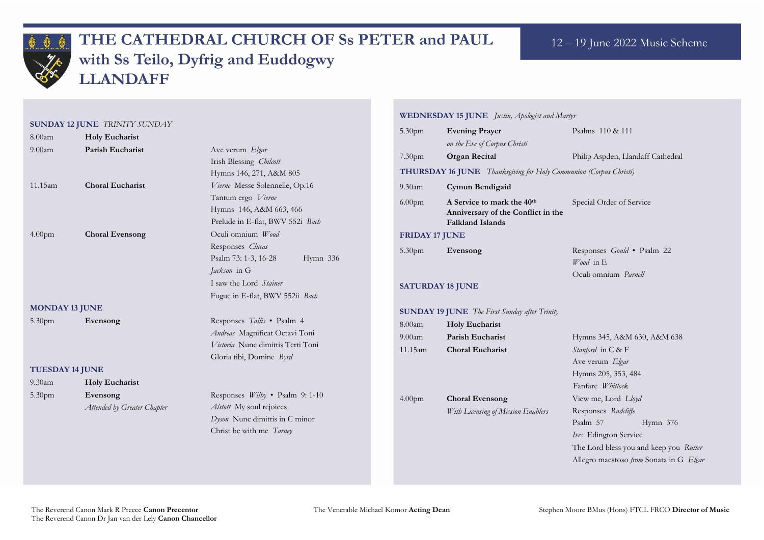

# THE CATHEDRAL CHURCH OF Ss PETER and PAUL with Ss Teilo, Dyfrig and Euddogwy **LLANDAFF**

#### **SUNDAY 12 JUNE** *TRINITY SUNDAY*

Philip Aspden, Llandaff Cathedral **THURSDAY 16 JUNE** *Thanksgiving for Holy Communion (Corpus Christi)*

ecial Order of Service

esponses *Gould* • Psalm 22 *Wood* in E Oculi omnium *Parnell*

| 8.00am                        | <b>Holy Eucharist</b>                       |                                                                                                                                                                                              | 5.30pm                                    | <b>Evening Prayer</b>                                                                                                                                                                               |
|-------------------------------|---------------------------------------------|----------------------------------------------------------------------------------------------------------------------------------------------------------------------------------------------|-------------------------------------------|-----------------------------------------------------------------------------------------------------------------------------------------------------------------------------------------------------|
| 9.00 <sub>am</sub><br>11.15am | Parish Eucharist<br><b>Choral Eucharist</b> | Ave verum Elgar<br>Irish Blessing Chilcott<br>Hymns 146, 271, A&M 805<br>Vierne Messe Solennelle, Op.16<br>Tantum ergo Vierne<br>Hymns 146, A&M 663, 466<br>Prelude in E-flat, BWV 552i Bach | 7.30 <sub>pm</sub><br>9.30am<br>$6.00$ pm | on the Eve of Corpus Christi<br><b>Organ Recital</b><br>THURSDAY 16 JUNE Thanksgiving fo<br>Cymun Bendigaid<br>A Service to mark the 4<br><b>Anniversary of the Conf</b><br><b>Falkland Islands</b> |
| 4.00 <sub>pm</sub>            | <b>Choral Evensong</b>                      | Oculi omnium Wood<br>Responses Clucas<br>Psalm 73: 1-3, 16-28<br>Hymn 336<br>Jackson in G<br>I saw the Lord Stainer<br>Fugue in E-flat, BWV 552ii Bach                                       | 5.30pm                                    | <b>FRIDAY 17 JUNE</b><br>Evensong<br><b>SATURDAY 18 JUNE</b>                                                                                                                                        |
| <b>MONDAY 13 JUNE</b>         |                                             | <b>SUNDAY 19 JUNE</b> The First Sunday af                                                                                                                                                    |                                           |                                                                                                                                                                                                     |
| 5.30 <sub>pm</sub>            | Evensong                                    | Responses Tallis • Psalm 4<br>Andreas Magnificat Octavi Toni<br>Victoria Nunc dimittis Terti Toni<br>Gloria tibi, Domine Byrd                                                                | 8.00am<br>$9.00$ am<br>11.15am            | <b>Holy Eucharist</b><br>Parish Eucharist<br><b>Choral Eucharist</b>                                                                                                                                |
| <b>TUESDAY 14 JUNE</b>        |                                             |                                                                                                                                                                                              |                                           |                                                                                                                                                                                                     |
| $9.30$ am                     | <b>Holy Eucharist</b>                       |                                                                                                                                                                                              |                                           |                                                                                                                                                                                                     |
| 5.30pm                        | Evensong<br>Attended by Greater Chapter     | Responses <i>Wilby</i> • Psalm 9:1-10<br>Alstott My soul rejoices<br>Dyson Nunc dimittis in C minor<br>Christ be with me Tarney                                                              | 4.00 <sub>pm</sub>                        | <b>Choral Evensong</b><br>With Licensing of Mission E.                                                                                                                                              |

### **WEDNESDAY 15 JUNE** *Justin, Apologist and Martyr*

Psalms 110 & 111

| 9.30 <sub>am</sub>      | Cymun Bendigaid                                                                                         |                           |  |  |
|-------------------------|---------------------------------------------------------------------------------------------------------|---------------------------|--|--|
| 6.00 <sub>pm</sub>      | A Service to mark the 40 <sup>th</sup><br>Anniversary of the Conflict in the<br><b>Falkland Islands</b> |                           |  |  |
| <b>FRIDAY 17 JUNE</b>   |                                                                                                         |                           |  |  |
| 5.30pm                  | Evensong                                                                                                | Re<br>W<br>$\overline{O}$ |  |  |
| <b>SATURDAY 18 JUNE</b> |                                                                                                         |                           |  |  |
|                         | <b>SUNDAY 19 JUNE</b> The First Sunday after Trinity                                                    |                           |  |  |
| $8.00$ am               | <b>Holy Eucharist</b>                                                                                   |                           |  |  |
| 9.00am                  | <b>Parish Eucharist</b>                                                                                 | Hy                        |  |  |
| 11.15am                 | <b>Choral Eucharist</b>                                                                                 | St                        |  |  |
|                         |                                                                                                         | Aу                        |  |  |
|                         |                                                                                                         | Hy                        |  |  |
|                         |                                                                                                         | Fa                        |  |  |
| 4.00 <sub>pm</sub>      | <b>Choral Evensong</b>                                                                                  | Vi                        |  |  |
|                         | With Licensing of Mission Enablers                                                                      | Re                        |  |  |
|                         |                                                                                                         | Ps                        |  |  |
|                         |                                                                                                         | Ive                       |  |  |
|                         |                                                                                                         | Th                        |  |  |
|                         |                                                                                                         | $A$ $1$                   |  |  |

9.00am **Parish Eucharist** Hymns 345, A&M 630, A&M 638 anford in C & F Ave verum *Elgar* ymns 205, 353, 484 Fanfare *Whitlock*  ew me, Lord *Lloyd* esponses Radcliffe alm 57 Hymn 376 *Is* Edington Service ne Lord bless you and keep you *Rutter* Allegro maestoso *from* Sonata in G *Elgar*

The Venerable Michael Komor **Acting Dean** Stephen Moore BMus (Hons) FTCL FRCO **Director of Music** 

### 12 – 19 June 2022 Music Scheme